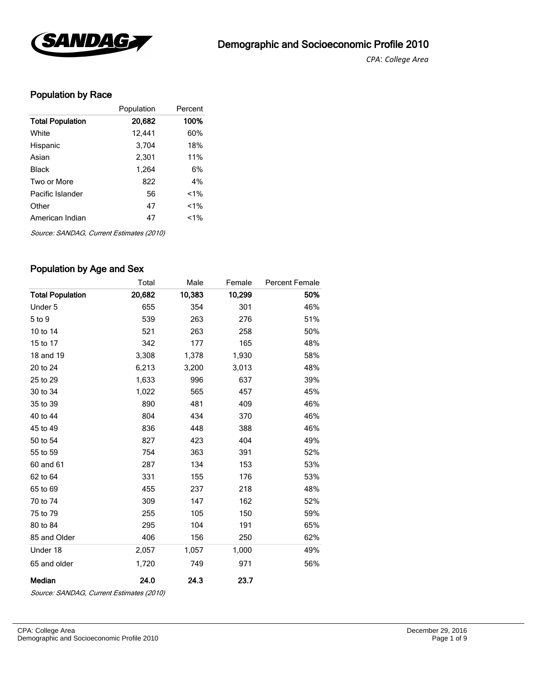

*CPA*: *College Area* 

# Population by Race

|                         | Population | Percent |
|-------------------------|------------|---------|
| <b>Total Population</b> | 20,682     | 100%    |
| White                   | 12,441     | 60%     |
| Hispanic                | 3,704      | 18%     |
| Asian                   | 2,301      | 11%     |
| Black                   | 1,264      | 6%      |
| Two or More             | 822        | 4%      |
| Pacific Islander        | 56         | $1\%$   |
| Other                   | 47         | $1\%$   |
| American Indian         | 47         | $1\%$   |

Source: SANDAG, Current Estimates (2010)

### Population by Age and Sex

|                         | Total  | Male   | Female | <b>Percent Female</b> |
|-------------------------|--------|--------|--------|-----------------------|
| <b>Total Population</b> | 20,682 | 10,383 | 10,299 | 50%                   |
| Under 5                 | 655    | 354    | 301    | 46%                   |
| 5 to 9                  | 539    | 263    | 276    | 51%                   |
| 10 to 14                | 521    | 263    | 258    | 50%                   |
| 15 to 17                | 342    | 177    | 165    | 48%                   |
| 18 and 19               | 3,308  | 1,378  | 1,930  | 58%                   |
| 20 to 24                | 6,213  | 3,200  | 3,013  | 48%                   |
| 25 to 29                | 1,633  | 996    | 637    | 39%                   |
| 30 to 34                | 1,022  | 565    | 457    | 45%                   |
| 35 to 39                | 890    | 481    | 409    | 46%                   |
| 40 to 44                | 804    | 434    | 370    | 46%                   |
| 45 to 49                | 836    | 448    | 388    | 46%                   |
| 50 to 54                | 827    | 423    | 404    | 49%                   |
| 55 to 59                | 754    | 363    | 391    | 52%                   |
| 60 and 61               | 287    | 134    | 153    | 53%                   |
| 62 to 64                | 331    | 155    | 176    | 53%                   |
| 65 to 69                | 455    | 237    | 218    | 48%                   |
| 70 to 74                | 309    | 147    | 162    | 52%                   |
| 75 to 79                | 255    | 105    | 150    | 59%                   |
| 80 to 84                | 295    | 104    | 191    | 65%                   |
| 85 and Older            | 406    | 156    | 250    | 62%                   |
| Under 18                | 2,057  | 1,057  | 1,000  | 49%                   |
| 65 and older            | 1,720  | 749    | 971    | 56%                   |
| Median                  | 24.0   | 24.3   | 23.7   |                       |

Source: SANDAG, Current Estimates (2010)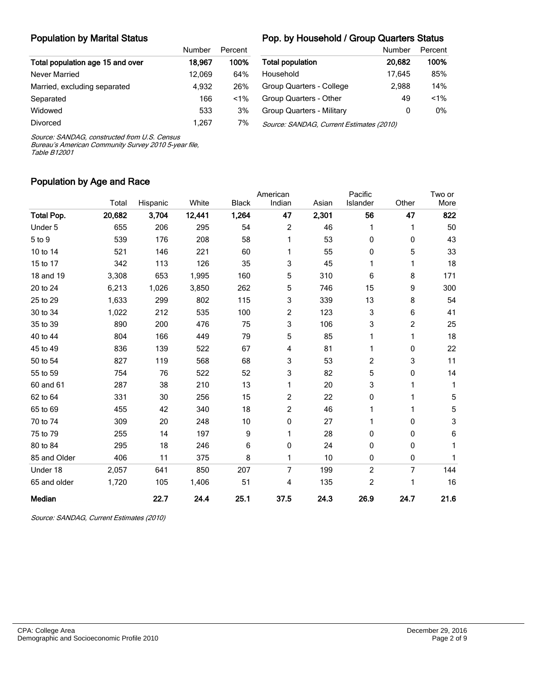#### Population by Marital Status

#### Pop. by Household / Group Quarters Status

|                                  | Number | Percent |  |
|----------------------------------|--------|---------|--|
| Total population age 15 and over | 18.967 | 100%    |  |
| Never Married                    | 12.069 | 64%     |  |
| Married, excluding separated     | 4.932  | 26%     |  |
| Separated                        | 166    | $1\%$   |  |
| Widowed                          | 533    | 3%      |  |
| Divorced                         | 1.267  | 7%      |  |

|                                          | Number | Percent |  |  |  |
|------------------------------------------|--------|---------|--|--|--|
| <b>Total population</b>                  | 20,682 | 100%    |  |  |  |
| Household                                | 17.645 | 85%     |  |  |  |
| Group Quarters - College                 | 2.988  | 14%     |  |  |  |
| Group Quarters - Other                   | 49     | $< 1\%$ |  |  |  |
| Group Quarters - Military                | 0      | 0%      |  |  |  |
| Source: SANDAG, Current Estimates (2010) |        |         |  |  |  |

Source: SANDAG, constructed from U.S. Census

Bureau's American Community Survey 2010 5-year file, Table B12001

#### Population by Age and Race

|                   |        |          |        |              | American       |       | Pacific        |       | Two or      |
|-------------------|--------|----------|--------|--------------|----------------|-------|----------------|-------|-------------|
|                   | Total  | Hispanic | White  | <b>Black</b> | Indian         | Asian | Islander       | Other | More        |
| <b>Total Pop.</b> | 20,682 | 3,704    | 12,441 | 1,264        | 47             | 2,301 | 56             | 47    | 822         |
| Under 5           | 655    | 206      | 295    | 54           | $\overline{c}$ | 46    | 1              | 1     | 50          |
| 5 to 9            | 539    | 176      | 208    | 58           | 1              | 53    | 0              | 0     | 43          |
| 10 to 14          | 521    | 146      | 221    | 60           | 1              | 55    | 0              | 5     | 33          |
| 15 to 17          | 342    | 113      | 126    | 35           | 3              | 45    | 1              | 1     | 18          |
| 18 and 19         | 3,308  | 653      | 1,995  | 160          | 5              | 310   | 6              | 8     | 171         |
| 20 to 24          | 6,213  | 1,026    | 3,850  | 262          | 5              | 746   | 15             | 9     | 300         |
| 25 to 29          | 1,633  | 299      | 802    | 115          | 3              | 339   | 13             | 8     | 54          |
| 30 to 34          | 1,022  | 212      | 535    | 100          | 2              | 123   | 3              | 6     | 41          |
| 35 to 39          | 890    | 200      | 476    | 75           | 3              | 106   | 3              | 2     | 25          |
| 40 to 44          | 804    | 166      | 449    | 79           | 5              | 85    | 1              | 1     | 18          |
| 45 to 49          | 836    | 139      | 522    | 67           | 4              | 81    | 1              | 0     | 22          |
| 50 to 54          | 827    | 119      | 568    | 68           | 3              | 53    | 2              | 3     | 11          |
| 55 to 59          | 754    | 76       | 522    | 52           | 3              | 82    | 5              | 0     | 14          |
| 60 and 61         | 287    | 38       | 210    | 13           | 1              | 20    | 3              | 1     | 1           |
| 62 to 64          | 331    | 30       | 256    | 15           | $\overline{c}$ | 22    | 0              | 1     | 5           |
| 65 to 69          | 455    | 42       | 340    | 18           | $\overline{c}$ | 46    | 1              | 1     | $\mathbf 5$ |
| 70 to 74          | 309    | 20       | 248    | 10           | 0              | 27    | 1              | 0     | 3           |
| 75 to 79          | 255    | 14       | 197    | 9            | 1              | 28    | 0              | 0     | 6           |
| 80 to 84          | 295    | 18       | 246    | 6            | 0              | 24    | 0              | 0     | 1           |
| 85 and Older      | 406    | 11       | 375    | 8            | 1              | 10    | 0              | 0     | 1           |
| Under 18          | 2,057  | 641      | 850    | 207          | 7              | 199   | $\overline{c}$ | 7     | 144         |
| 65 and older      | 1,720  | 105      | 1,406  | 51           | 4              | 135   | 2              | 1     | 16          |
| Median            |        | 22.7     | 24.4   | 25.1         | 37.5           | 24.3  | 26.9           | 24.7  | 21.6        |

Source: SANDAG, Current Estimates (2010)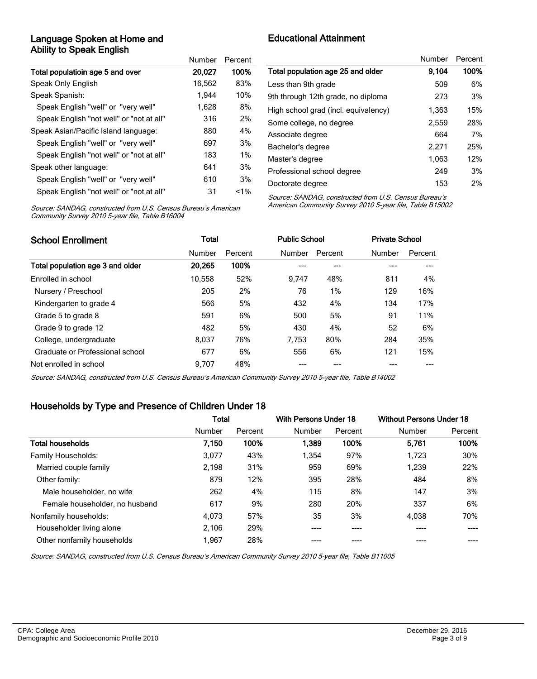### Language Spoken at Home and Ability to Speak English

|                                          | Number | Percent |
|------------------------------------------|--------|---------|
| Total populatioin age 5 and over         | 20,027 | 100%    |
| Speak Only English                       | 16,562 | 83%     |
| Speak Spanish:                           | 1.944  | 10%     |
| Speak English "well" or "very well"      | 1.628  | 8%      |
| Speak English "not well" or "not at all" | 316    | 2%      |
| Speak Asian/Pacific Island language:     | 880    | 4%      |
| Speak English "well" or "very well"      | 697    | 3%      |
| Speak English "not well" or "not at all" | 183    | $1\%$   |
| Speak other language:                    | 641    | 3%      |
| Speak English "well" or "very well"      | 610    | 3%      |
| Speak English "not well" or "not at all" | 31     | $< 1\%$ |

# Educational Attainment

|                                      | Number | Percent |
|--------------------------------------|--------|---------|
| Total population age 25 and older    | 9.104  | 100%    |
| Less than 9th grade                  | 509    | 6%      |
| 9th through 12th grade, no diploma   | 273    | 3%      |
| High school grad (incl. equivalency) | 1,363  | 15%     |
| Some college, no degree              | 2,559  | 28%     |
| Associate degree                     | 664    | 7%      |
| Bachelor's degree                    | 2,271  | 25%     |
| Master's degree                      | 1,063  | 12%     |
| Professional school degree           | 249    | 3%      |
| Doctorate degree                     | 153    | 2%      |

Source: SANDAG, constructed from U.S. Census Bureau's American Community Survey 2010 5-year file, Table B16004

Source: SANDAG, constructed from U.S. Census Bureau's American Community Survey 2010 5-year file, Table B15002

| <b>School Enrollment</b>         | Total  |         | <b>Public School</b> |         | <b>Private School</b> |         |
|----------------------------------|--------|---------|----------------------|---------|-----------------------|---------|
|                                  | Number | Percent | Number               | Percent | Number                | Percent |
| Total population age 3 and older | 20.265 | 100%    |                      |         |                       |         |
| Enrolled in school               | 10.558 | 52%     | 9.747                | 48%     | 811                   | 4%      |
| Nursery / Preschool              | 205    | 2%      | 76                   | 1%      | 129                   | 16%     |
| Kindergarten to grade 4          | 566    | 5%      | 432                  | 4%      | 134                   | 17%     |
| Grade 5 to grade 8               | 591    | 6%      | 500                  | 5%      | 91                    | 11%     |
| Grade 9 to grade 12              | 482    | 5%      | 430                  | 4%      | 52                    | 6%      |
| College, undergraduate           | 8.037  | 76%     | 7.753                | 80%     | 284                   | 35%     |
| Graduate or Professional school  | 677    | 6%      | 556                  | 6%      | 121                   | 15%     |
| Not enrolled in school           | 9.707  | 48%     |                      |         |                       |         |

Source: SANDAG, constructed from U.S. Census Bureau's American Community Survey 2010 5-year file, Table B14002

### Households by Type and Presence of Children Under 18

|                                | <b>Total</b> |         | With Persons Under 18 |         | <b>Without Persons Under 18</b> |         |
|--------------------------------|--------------|---------|-----------------------|---------|---------------------------------|---------|
|                                | Number       | Percent | Number                | Percent | Number                          | Percent |
| <b>Total households</b>        | 7.150        | 100%    | 1,389                 | 100%    | 5.761                           | 100%    |
| <b>Family Households:</b>      | 3,077        | 43%     | 1,354                 | 97%     | 1,723                           | 30%     |
| Married couple family          | 2,198        | 31%     | 959                   | 69%     | 1.239                           | 22%     |
| Other family:                  | 879          | 12%     | 395                   | 28%     | 484                             | 8%      |
| Male householder, no wife      | 262          | 4%      | 115                   | 8%      | 147                             | 3%      |
| Female householder, no husband | 617          | 9%      | 280                   | 20%     | 337                             | 6%      |
| Nonfamily households:          | 4.073        | 57%     | 35                    | 3%      | 4,038                           | 70%     |
| Householder living alone       | 2.106        | 29%     | ----                  | ----    |                                 |         |
| Other nonfamily households     | 1.967        | 28%     |                       |         |                                 |         |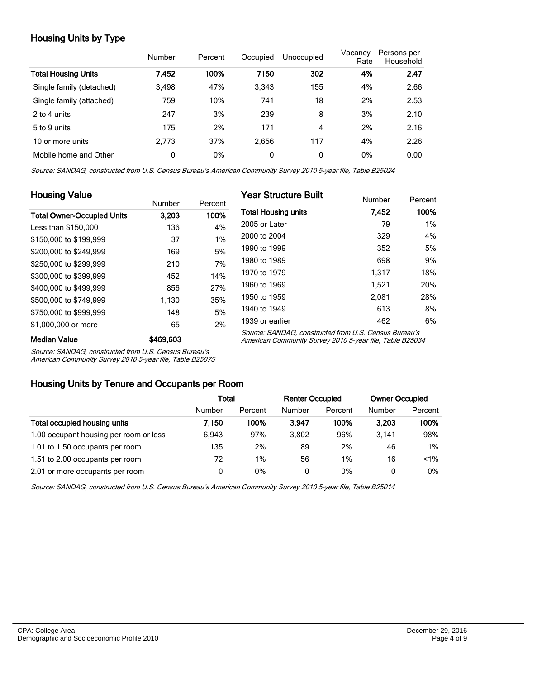# Housing Units by Type

|                            | Number | Percent | Occupied     | Unoccupied | Vacancy<br>Rate | Persons per<br>Household |
|----------------------------|--------|---------|--------------|------------|-----------------|--------------------------|
| <b>Total Housing Units</b> | 7,452  | 100%    | 7150         | 302        | 4%              | 2.47                     |
| Single family (detached)   | 3,498  | 47%     | 3.343        | 155        | 4%              | 2.66                     |
| Single family (attached)   | 759    | 10%     | 741          | 18         | 2%              | 2.53                     |
| 2 to 4 units               | 247    | 3%      | 239          | 8          | 3%              | 2.10                     |
| 5 to 9 units               | 175    | 2%      | 171          | 4          | 2%              | 2.16                     |
| 10 or more units           | 2.773  | 37%     | 2.656        | 117        | 4%              | 2.26                     |
| Mobile home and Other      | 0      | 0%      | $\mathbf{0}$ | 0          | 0%              | 0.00                     |

Source: SANDAG, constructed from U.S. Census Bureau's American Community Survey 2010 5-year file, Table B25024

| <b>Housing Value</b>              |           |         | <b>Year Structure Built</b>                                                                                       |        |         |  |
|-----------------------------------|-----------|---------|-------------------------------------------------------------------------------------------------------------------|--------|---------|--|
|                                   | Number    | Percent |                                                                                                                   | Number | Percent |  |
| <b>Total Owner-Occupied Units</b> | 3.203     | 100%    | <b>Total Housing units</b>                                                                                        | 7,452  | 100%    |  |
| Less than \$150,000               | 136       | 4%      | 2005 or Later                                                                                                     | 79     | 1%      |  |
| \$150,000 to \$199,999            | 37        | 1%      | 2000 to 2004                                                                                                      | 329    | 4%      |  |
| \$200,000 to \$249.999            | 169       | 5%      | 1990 to 1999                                                                                                      | 352    | 5%      |  |
| \$250,000 to \$299,999            | 210       | 7%      | 1980 to 1989                                                                                                      | 698    | 9%      |  |
| \$300,000 to \$399,999            | 452       | 14%     | 1970 to 1979                                                                                                      | 1.317  | 18%     |  |
| \$400,000 to \$499,999            | 856       | 27%     | 1960 to 1969                                                                                                      | 1,521  | 20%     |  |
| \$500,000 to \$749,999            | 1,130     | 35%     | 1950 to 1959                                                                                                      | 2.081  | 28%     |  |
| \$750,000 to \$999,999            | 148       | 5%      | 1940 to 1949                                                                                                      | 613    | 8%      |  |
| \$1,000,000 or more               | 65        | 2%      | 1939 or earlier                                                                                                   | 462    | 6%      |  |
| <b>Median Value</b>               | \$469,603 |         | Source: SANDAG, constructed from U.S. Census Bureau's<br>American Community Survey 2010 5-year file, Table B25034 |        |         |  |

Source: SANDAG, constructed from U.S. Census Bureau's

American Community Survey 2010 5-year file, Table B25075

#### Housing Units by Tenure and Occupants per Room

|                                        | Total  |         | <b>Renter Occupied</b> |         | <b>Owner Occupied</b> |         |
|----------------------------------------|--------|---------|------------------------|---------|-----------------------|---------|
|                                        | Number | Percent | Number                 | Percent | Number                | Percent |
| Total occupied housing units           | 7.150  | 100%    | 3.947                  | 100%    | 3.203                 | 100%    |
| 1.00 occupant housing per room or less | 6.943  | 97%     | 3.802                  | 96%     | 3.141                 | 98%     |
| 1.01 to 1.50 occupants per room        | 135    | 2%      | 89                     | 2%      | 46                    | 1%      |
| 1.51 to 2.00 occupants per room        | 72     | $1\%$   | 56                     | $1\%$   | 16                    | $< 1\%$ |
| 2.01 or more occupants per room        | 0      | 0%      | 0                      | 0%      | 0                     | 0%      |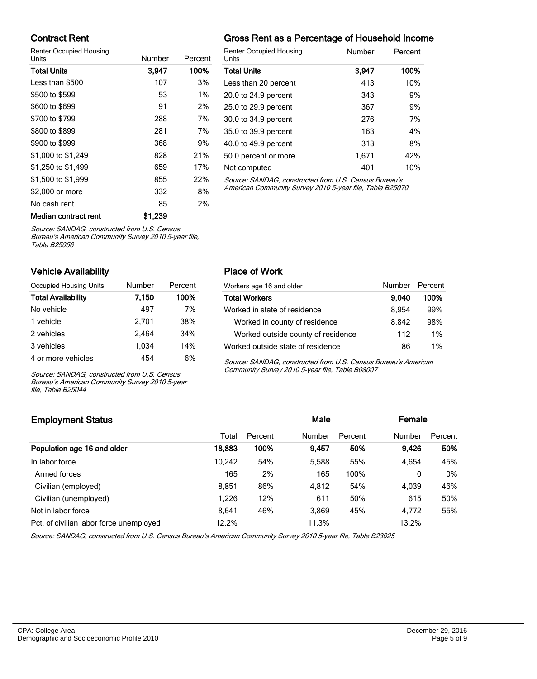### Contract Rent

Renter Occupied Housing

| <b>Units</b>         | Number  | Percent | ι |
|----------------------|---------|---------|---|
| <b>Total Units</b>   | 3,947   | 100%    | ٦ |
| Less than \$500      | 107     | 3%      | L |
| \$500 to \$599       | 53      | $1\%$   | 2 |
| \$600 to \$699       | 91      | 2%      | 2 |
| \$700 to \$799       | 288     | 7%      | G |
| \$800 to \$899       | 281     | 7%      | З |
| \$900 to \$999       | 368     | 9%      | 4 |
| \$1,000 to \$1,249   | 828     | 21%     | 5 |
| \$1,250 to \$1,499   | 659     | 17%     | N |
| \$1,500 to \$1,999   | 855     | 22%     | ć |
| \$2,000 or more      | 332     | 8%      | F |
| No cash rent         | 85      | 2%      |   |
| Median contract rent | \$1.239 |         |   |

## Gross Rent as a Percentage of Household Income

| <b>Renter Occupied Housing</b><br>Units               | Number | Percent |
|-------------------------------------------------------|--------|---------|
| <b>Total Units</b>                                    | 3,947  | 100%    |
| Less than 20 percent                                  | 413    | 10%     |
| 20.0 to 24.9 percent                                  | 343    | 9%      |
| 25.0 to 29.9 percent                                  | 367    | 9%      |
| 30.0 to 34.9 percent                                  | 276    | 7%      |
| 35.0 to 39.9 percent                                  | 163    | 4%      |
| 40.0 to 49.9 percent                                  | 313    | 8%      |
| 50.0 percent or more                                  | 1.671  | 42%     |
| Not computed                                          | 401    | 10%     |
| Source: SANDAC, constructed from U.S. Cansus Burgau's |        |         |

Source: SANDAG, constructed from U.S. Cens American Community Survey 2010 5-year file, Table B25070

Source: SANDAG, constructed from U.S. Census

Bureau's American Community Survey 2010 5-year file, Table B25056

#### Vehicle Availability

| Occupied Housing Units    | Number | Percent |
|---------------------------|--------|---------|
| <b>Total Availability</b> | 7,150  | 100%    |
| No vehicle                | 497    | 7%      |
| 1 vehicle                 | 2.701  | 38%     |
| 2 vehicles                | 2,464  | 34%     |
| 3 vehicles                | 1.034  | 14%     |
| 4 or more vehicles        | 454    | 6%      |

Source: SANDAG, constructed from U.S. Census Bureau's American Community Survey 2010 5-year file, Table B25044

#### Place of Work

| Workers age 16 and older           | Number Percent |      |
|------------------------------------|----------------|------|
| <b>Total Workers</b>               | 9.040          | 100% |
| Worked in state of residence       | 8.954          | 99%  |
| Worked in county of residence      | 8.842          | 98%  |
| Worked outside county of residence | 112            | 1%   |
| Worked outside state of residence  | 86             | 1%   |

Source: SANDAG, constructed from U.S. Census Bureau's American Community Survey 2010 5-year file, Table B08007

# Employment Status **Employment Status Male Employment Status Male Employment Status Male Employment Status** Total Percent Number Percent Number Percent Population age 16 and older 18,883 100% 9,457 50% 9,426 50% In labor force 10,242 54% 5,588 55% 4,654 45% Armed forces 28 165 2% 165 100% 0 0% Civilian (employed) 8,851 86% 4,812 54% 4,039 46% Civilian (unemployed) 1,226 12% 611 50% 615 50% Not in labor force **8,641** 46% 3,869 45% 4,772 55% Pct. of civilian labor force unemployed 12.2% 11.3% 13.2% 13.2%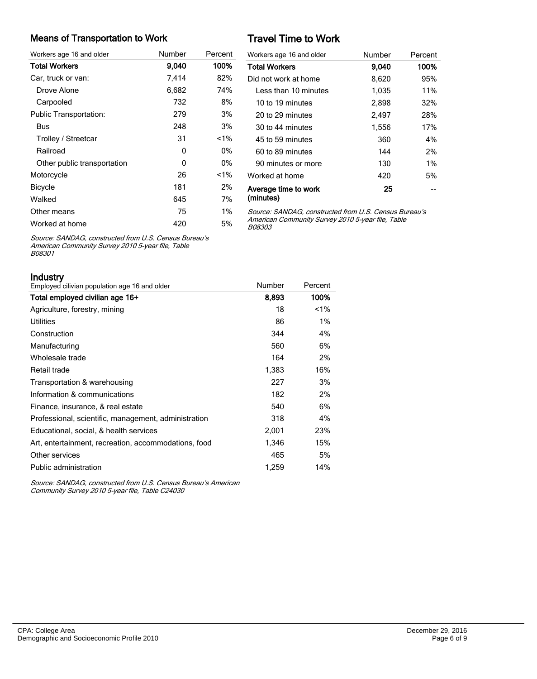#### Means of Transportation to Work

| Workers age 16 and older      | Number | Percent |
|-------------------------------|--------|---------|
| <b>Total Workers</b>          | 9,040  | 100%    |
| Car, truck or van:            | 7,414  | 82%     |
| Drove Alone                   | 6,682  | 74%     |
| Carpooled                     | 732    | 8%      |
| <b>Public Transportation:</b> | 279    | 3%      |
| Bus                           | 248    | 3%      |
| Trolley / Streetcar           | 31     | $< 1\%$ |
| Railroad                      | 0      | 0%      |
| Other public transportation   | 0      | 0%      |
| Motorcycle                    | 26     | $< 1\%$ |
| <b>Bicycle</b>                | 181    | 2%      |
| Walked                        | 645    | 7%      |
| Other means                   | 75     | 1%      |
| Worked at home                | 420    | 5%      |

# Travel Time to Work

| Workers age 16 and older          | Number | Percent |
|-----------------------------------|--------|---------|
| <b>Total Workers</b>              | 9.040  | 100%    |
| Did not work at home              | 8,620  | 95%     |
| Less than 10 minutes              | 1,035  | 11%     |
| 10 to 19 minutes                  | 2,898  | 32%     |
| 20 to 29 minutes                  | 2,497  | 28%     |
| 30 to 44 minutes                  | 1,556  | 17%     |
| 45 to 59 minutes                  | 360    | 4%      |
| 60 to 89 minutes                  | 144    | 2%      |
| 90 minutes or more                | 130    | $1\%$   |
| Worked at home                    | 420    | 5%      |
| Average time to work<br>(minutes) | 25     |         |

Source: SANDAG, constructed from U.S. Census Bureau's American Community Survey 2010 5-year file, Table B08303

Source: SANDAG, constructed from U.S. Census Bureau's American Community Survey 2010 5-year file, Table B08301

Industry

| iliuusu v<br>Employed cilivian population age 16 and older | Number | Percent |
|------------------------------------------------------------|--------|---------|
| Total employed civilian age 16+                            | 8,893  | 100%    |
| Agriculture, forestry, mining                              | 18     | $1\%$   |
| Utilities                                                  | 86     | $1\%$   |
| Construction                                               | 344    | 4%      |
| Manufacturing                                              | 560    | 6%      |
| Wholesale trade                                            | 164    | 2%      |
| Retail trade                                               | 1,383  | 16%     |
| Transportation & warehousing                               | 227    | 3%      |
| Information & communications                               | 182    | 2%      |
| Finance, insurance, & real estate                          | 540    | 6%      |
| Professional, scientific, management, administration       | 318    | 4%      |
| Educational, social, & health services                     | 2,001  | 23%     |
| Art, entertainment, recreation, accommodations, food       | 1,346  | 15%     |
| Other services                                             | 465    | 5%      |
| Public administration                                      | 1,259  | 14%     |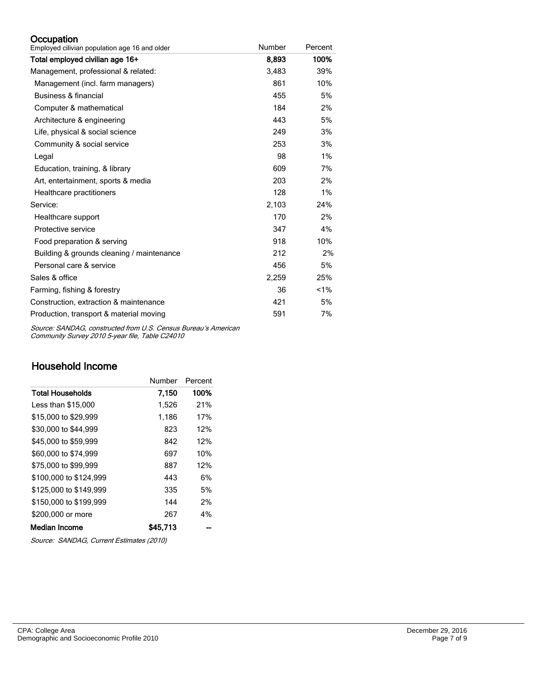#### **Occupation**

| Employed cilivian population age 16 and older | Number | Percent |
|-----------------------------------------------|--------|---------|
| Total employed civilian age 16+               | 8,893  | 100%    |
| Management, professional & related:           | 3,483  | 39%     |
| Management (incl. farm managers)              | 861    | 10%     |
| Business & financial                          | 455    | 5%      |
| Computer & mathematical                       | 184    | 2%      |
| Architecture & engineering                    | 443    | 5%      |
| Life, physical & social science               | 249    | 3%      |
| Community & social service                    | 253    | 3%      |
| Legal                                         | 98     | 1%      |
| Education, training, & library                | 609    | 7%      |
| Art, entertainment, sports & media            | 203    | 2%      |
| Healthcare practitioners                      | 128    | 1%      |
| Service:                                      | 2,103  | 24%     |
| Healthcare support                            | 170    | 2%      |
| Protective service                            | 347    | 4%      |
| Food preparation & serving                    | 918    | 10%     |
| Building & grounds cleaning / maintenance     | 212    | 2%      |
| Personal care & service                       | 456    | 5%      |
| Sales & office                                | 2,259  | 25%     |
| Farming, fishing & forestry                   | 36     | 1%      |
| Construction, extraction & maintenance        | 421    | 5%      |
| Production, transport & material moving       | 591    | 7%      |

Source: SANDAG, constructed from U.S. Census Bureau's American Community Survey 2010 5-year file, Table C24010

# Household Income

|                         | Number   | Percent |
|-------------------------|----------|---------|
| <b>Total Households</b> | 7,150    | 100%    |
| Less than \$15,000      | 1,526    | 21%     |
| \$15,000 to \$29,999    | 1,186    | 17%     |
| \$30,000 to \$44,999    | 823      | 12%     |
| \$45,000 to \$59,999    | 842      | 12%     |
| \$60,000 to \$74,999    | 697      | 10%     |
| \$75,000 to \$99.999    | 887      | 12%     |
| \$100,000 to \$124.999  | 443      | 6%      |
| \$125,000 to \$149.999  | 335      | 5%      |
| \$150,000 to \$199.999  | 144      | 2%      |
| \$200,000 or more       | 267      | 4%      |
| Median Income           | \$45.713 |         |

Source: SANDAG, Current Estimates (2010)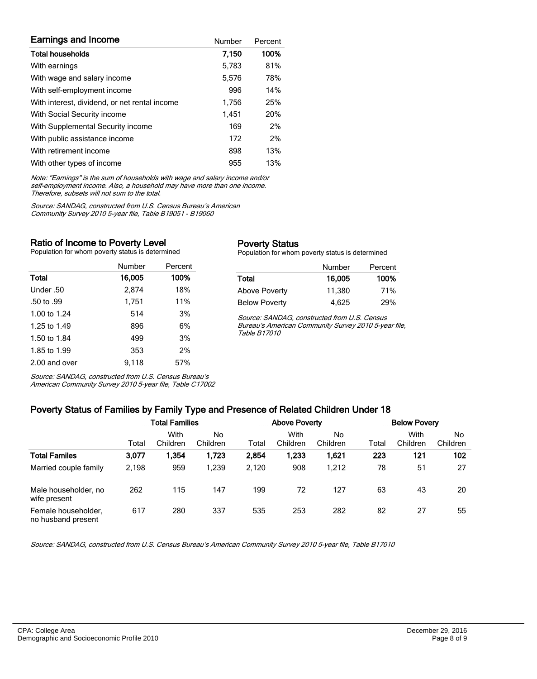| <b>Earnings and Income</b>                    | Number | Percent |
|-----------------------------------------------|--------|---------|
| <b>Total households</b>                       | 7,150  | 100%    |
| With earnings                                 | 5,783  | 81%     |
| With wage and salary income                   | 5,576  | 78%     |
| With self-employment income                   | 996    | 14%     |
| With interest, dividend, or net rental income | 1,756  | 25%     |
| With Social Security income                   | 1.451  | 20%     |
| With Supplemental Security income             | 169    | 2%      |
| With public assistance income                 | 172    | 2%      |
| With retirement income                        | 898    | 13%     |
| With other types of income                    | 955    | 13%     |

Note: "Earnings" is the sum of households with wage and salary income and/or self-employment income. Also, a household may have more than one income. Therefore, subsets will not sum to the total.

Source: SANDAG, constructed from U.S. Census Bureau's American Community Survey 2010 5-year file, Table B19051 - B19060

#### Ratio of Income to Poverty Level

Population for whom poverty status is determined

|               | Number | Percent |
|---------------|--------|---------|
| Total         | 16,005 | 100%    |
| Under .50     | 2.874  | 18%     |
| .50 to .99    | 1,751  | 11%     |
| 1.00 to 1.24  | 514    | 3%      |
| 1.25 to 1.49  | 896    | 6%      |
| 1.50 to 1.84  | 499    | 3%      |
| 1.85 to 1.99  | 353    | 2%      |
| 2.00 and over | 9,118  | 57%     |

#### Poverty Status

Population for whom poverty status is determined

|                      | Number | Percent |
|----------------------|--------|---------|
| Total                | 16,005 | 100%    |
| Above Poverty        | 11.380 | 71%     |
| <b>Below Poverty</b> | 4.625  | 29%     |

Source: SANDAG, constructed from U.S. Census Bureau's American Community Survey 2010 5-year file, Table B17010

Source: SANDAG, constructed from U.S. Census Bureau's American Community Survey 2010 5-year file, Table C17002

#### Poverty Status of Families by Family Type and Presence of Related Children Under 18

|                                           | <b>Total Families</b> |                  |                | <b>Above Poverty</b> |                  |                | <b>Below Povery</b> |                  |                |
|-------------------------------------------|-----------------------|------------------|----------------|----------------------|------------------|----------------|---------------------|------------------|----------------|
|                                           | Total                 | With<br>Children | No<br>Children | Total                | With<br>Children | No<br>Children | Total               | With<br>Children | No<br>Children |
| <b>Total Familes</b>                      | 3,077                 | 1,354            | 1,723          | 2,854                | 1,233            | 1.621          | 223                 | 121              | 102            |
| Married couple family                     | 2,198                 | 959              | 1.239          | 2.120                | 908              | 1.212          | 78                  | 51               | 27             |
| Male householder, no<br>wife present      | 262                   | 115              | 147            | 199                  | 72               | 127            | 63                  | 43               | 20             |
| Female householder,<br>no husband present | 617                   | 280              | 337            | 535                  | 253              | 282            | 82                  | 27               | 55             |